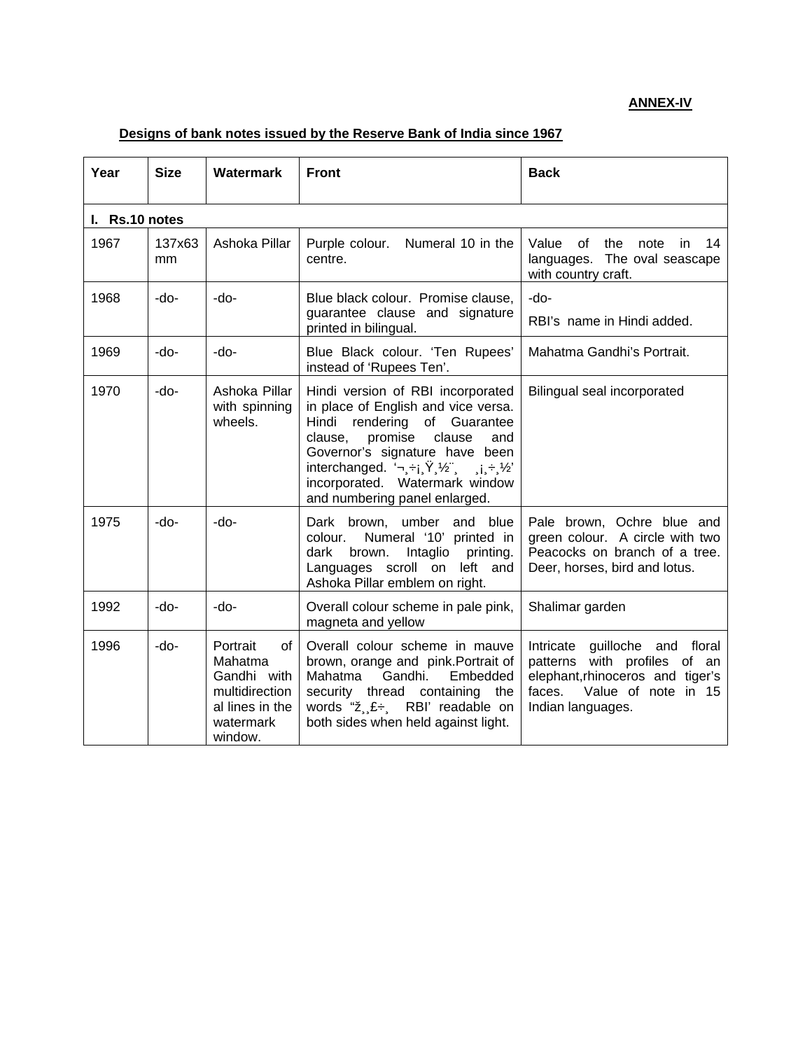## **ANNEX-IV**

**Designs of bank notes issued by the Reserve Bank of India since 1967**

| Year           | <b>Size</b>  | <b>Watermark</b>                                                                                      | <b>Front</b>                                                                                                                                                                                                                                                                                                                                                  | <b>Back</b>                                                                                                                                                       |
|----------------|--------------|-------------------------------------------------------------------------------------------------------|---------------------------------------------------------------------------------------------------------------------------------------------------------------------------------------------------------------------------------------------------------------------------------------------------------------------------------------------------------------|-------------------------------------------------------------------------------------------------------------------------------------------------------------------|
| I. Rs.10 notes |              |                                                                                                       |                                                                                                                                                                                                                                                                                                                                                               |                                                                                                                                                                   |
| 1967           | 137x63<br>mm | Ashoka Pillar                                                                                         | Numeral 10 in the<br>Purple colour.<br>centre.                                                                                                                                                                                                                                                                                                                | the<br>Value<br>of<br>note<br>14<br>in.<br>languages. The oval seascape<br>with country craft.                                                                    |
| 1968           | -do-         | $-do-$                                                                                                | Blue black colour. Promise clause,<br>guarantee clause and signature<br>printed in bilingual.                                                                                                                                                                                                                                                                 | -do-<br>RBI's name in Hindi added.                                                                                                                                |
| 1969           | -do-         | $-do-$                                                                                                | Blue Black colour. 'Ten Rupees'<br>instead of 'Rupees Ten'.                                                                                                                                                                                                                                                                                                   | Mahatma Gandhi's Portrait.                                                                                                                                        |
| 1970           | $-do-$       | Ashoka Pillar<br>with spinning<br>wheels.                                                             | Hindi version of RBI incorporated<br>in place of English and vice versa.<br>Hindi rendering of Guarantee<br>promise<br>clause<br>clause,<br>and<br>Governor's signature have been<br>interchanged. '¬,÷i, $\ddot{Y}$ , $\frac{1}{2}$ , $\ddot{Y}$ , $\frac{1}{2}$ , $\div$ , $\frac{1}{2}$<br>incorporated. Watermark window<br>and numbering panel enlarged. | Bilingual seal incorporated                                                                                                                                       |
| 1975           | -do-         | $-do-$                                                                                                | Dark brown, umber and blue<br>Numeral '10' printed in<br>colour.<br>Intaglio<br>dark<br>brown.<br>printing.<br>Languages scroll on<br>left and<br>Ashoka Pillar emblem on right.                                                                                                                                                                              | Pale brown, Ochre blue and<br>green colour. A circle with two<br>Peacocks on branch of a tree.<br>Deer, horses, bird and lotus.                                   |
| 1992           | -do-         | -do-                                                                                                  | Overall colour scheme in pale pink,<br>magneta and yellow                                                                                                                                                                                                                                                                                                     | Shalimar garden                                                                                                                                                   |
| 1996           | -do-         | Portrait<br>οf<br>Mahatma<br>Gandhi with<br>multidirection<br>al lines in the<br>watermark<br>window. | Overall colour scheme in mauve<br>brown, orange and pink. Portrait of<br>Gandhi.<br>Mahatma<br>Embedded<br>security thread containing the<br>words " $\check{z}, \hat{z}$ RBI' readable on<br>both sides when held against light.                                                                                                                             | guilloche and floral<br>Intricate<br>with profiles<br>patterns<br>of an<br>elephant, rhinoceros and tiger's<br>faces.<br>Value of note in 15<br>Indian languages. |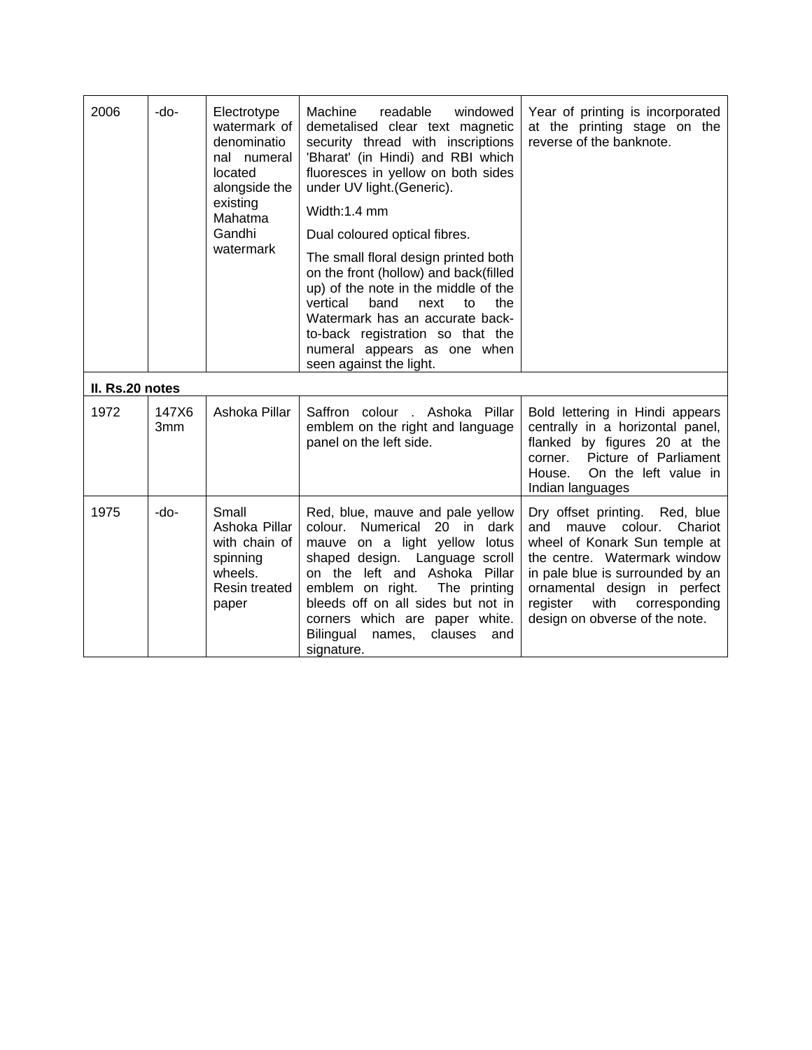| 2006<br>II. Rs.20 notes | -do-                     | Electrotype<br>watermark of<br>denominatio<br>nal numeral<br>located<br>alongside the<br>existing<br>Mahatma<br>Gandhi<br>watermark | Machine<br>windowed<br>readable<br>demetalised clear text magnetic<br>security thread with inscriptions<br>'Bharat' (in Hindi) and RBI which<br>fluoresces in yellow on both sides<br>under UV light. (Generic).<br>Width:1.4 mm<br>Dual coloured optical fibres.<br>The small floral design printed both<br>on the front (hollow) and back(filled<br>up) of the note in the middle of the<br>vertical<br>band<br>next<br>to<br>the<br>Watermark has an accurate back-<br>to-back registration so that the<br>numeral appears as one when<br>seen against the light. | Year of printing is incorporated<br>at the printing stage on the<br>reverse of the banknote.                                                                                                                                                                                        |
|-------------------------|--------------------------|-------------------------------------------------------------------------------------------------------------------------------------|----------------------------------------------------------------------------------------------------------------------------------------------------------------------------------------------------------------------------------------------------------------------------------------------------------------------------------------------------------------------------------------------------------------------------------------------------------------------------------------------------------------------------------------------------------------------|-------------------------------------------------------------------------------------------------------------------------------------------------------------------------------------------------------------------------------------------------------------------------------------|
| 1972                    | 147X6<br>3 <sub>mm</sub> | Ashoka Pillar                                                                                                                       | Saffron<br>colour<br>Ashoka<br>Pillar<br>emblem on the right and language<br>panel on the left side.                                                                                                                                                                                                                                                                                                                                                                                                                                                                 | Bold lettering in Hindi appears<br>centrally in a horizontal panel,<br>flanked by figures 20 at the<br>Picture of Parliament<br>corner.<br>On the left value in<br>House.<br>Indian languages                                                                                       |
| 1975                    | $-do-$                   | Small<br>Ashoka Pillar<br>with chain of<br>spinning<br>wheels.<br>Resin treated<br>paper                                            | Red, blue, mauve and pale yellow<br>colour.<br>Numerical<br>20 in<br>dark<br>on a light yellow<br>lotus<br>mauve<br>shaped design. Language scroll<br>on the left and Ashoka Pillar<br>emblem on right.<br>The printing<br>bleeds off on all sides but not in<br>corners which are paper white.<br>Bilingual<br>names,<br>clauses<br>and<br>signature.                                                                                                                                                                                                               | Dry offset printing.<br>Red, blue<br>Chariot<br>and<br>mauve<br>colour.<br>wheel of Konark Sun temple at<br>the centre. Watermark window<br>in pale blue is surrounded by an<br>ornamental design in perfect<br>register<br>with<br>corresponding<br>design on obverse of the note. |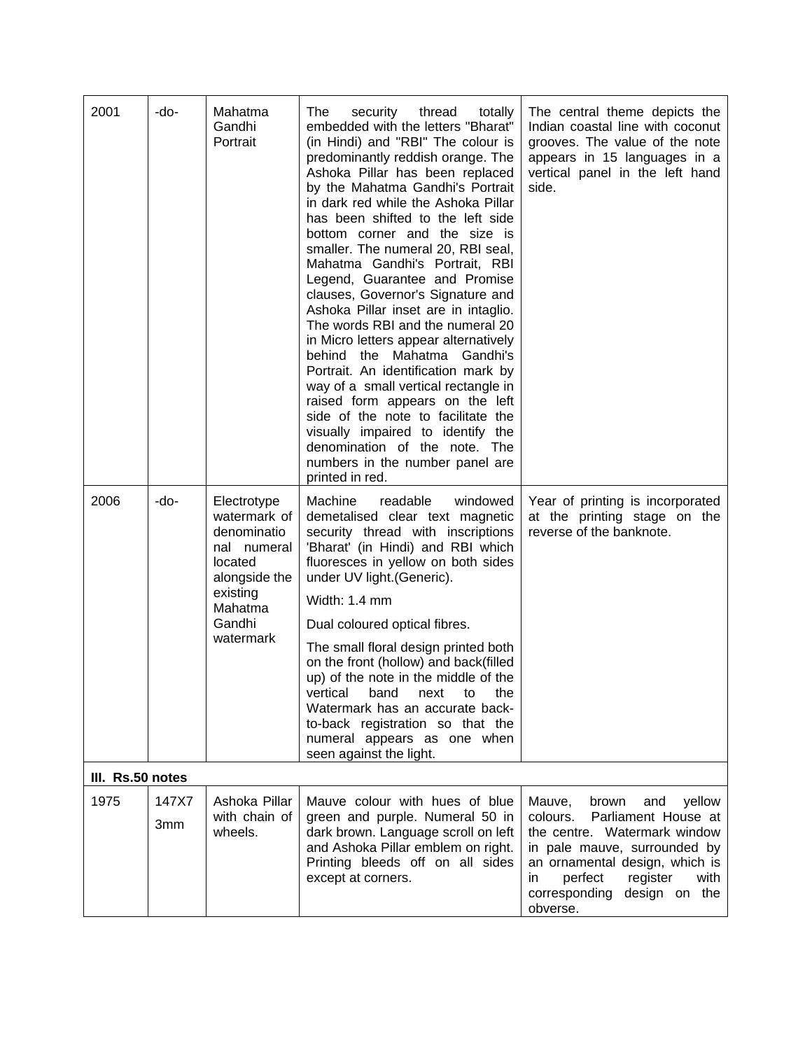| 2001             | -do-         | Mahatma<br>Gandhi<br>Portrait                                                                                                       | The<br>security<br>thread<br>totally<br>embedded with the letters "Bharat"<br>(in Hindi) and "RBI" The colour is<br>predominantly reddish orange. The<br>Ashoka Pillar has been replaced<br>by the Mahatma Gandhi's Portrait<br>in dark red while the Ashoka Pillar<br>has been shifted to the left side<br>bottom corner and the size is<br>smaller. The numeral 20, RBI seal,<br>Mahatma Gandhi's Portrait, RBI<br>Legend, Guarantee and Promise<br>clauses, Governor's Signature and<br>Ashoka Pillar inset are in intaglio.<br>The words RBI and the numeral 20<br>in Micro letters appear alternatively<br>behind the Mahatma Gandhi's<br>Portrait. An identification mark by<br>way of a small vertical rectangle in<br>raised form appears on the left<br>side of the note to facilitate the<br>visually impaired to identify the<br>denomination of the note. The<br>numbers in the number panel are<br>printed in red. | The central theme depicts the<br>Indian coastal line with coconut<br>grooves. The value of the note<br>appears in 15 languages in a<br>vertical panel in the left hand<br>side.                                                                        |
|------------------|--------------|-------------------------------------------------------------------------------------------------------------------------------------|---------------------------------------------------------------------------------------------------------------------------------------------------------------------------------------------------------------------------------------------------------------------------------------------------------------------------------------------------------------------------------------------------------------------------------------------------------------------------------------------------------------------------------------------------------------------------------------------------------------------------------------------------------------------------------------------------------------------------------------------------------------------------------------------------------------------------------------------------------------------------------------------------------------------------------|--------------------------------------------------------------------------------------------------------------------------------------------------------------------------------------------------------------------------------------------------------|
| 2006             | -do-         | Electrotype<br>watermark of<br>denominatio<br>nal numeral<br>located<br>alongside the<br>existing<br>Mahatma<br>Gandhi<br>watermark | Machine<br>readable<br>windowed<br>demetalised clear text magnetic<br>security thread with inscriptions<br>'Bharat' (in Hindi) and RBI which<br>fluoresces in yellow on both sides<br>under UV light.(Generic).<br>Width: 1.4 mm<br>Dual coloured optical fibres.<br>The small floral design printed both<br>on the front (hollow) and back(filled<br>up) of the note in the middle of the<br>vertical<br>band<br>next<br>to<br>the<br>Watermark has an accurate back-<br>to-back registration so that the<br>numeral appears as one when<br>seen against the light.                                                                                                                                                                                                                                                                                                                                                            | Year of printing is incorporated<br>at the printing stage on the<br>reverse of the banknote.                                                                                                                                                           |
| III. Rs.50 notes |              |                                                                                                                                     |                                                                                                                                                                                                                                                                                                                                                                                                                                                                                                                                                                                                                                                                                                                                                                                                                                                                                                                                 |                                                                                                                                                                                                                                                        |
| 1975             | 147X7<br>3mm | Ashoka Pillar<br>with chain of<br>wheels.                                                                                           | Mauve colour with hues of blue<br>green and purple. Numeral 50 in<br>dark brown. Language scroll on left<br>and Ashoka Pillar emblem on right.<br>Printing bleeds off on all sides<br>except at corners.                                                                                                                                                                                                                                                                                                                                                                                                                                                                                                                                                                                                                                                                                                                        | Mauve,<br>yellow<br>brown<br>and<br>Parliament House at<br>colours.<br>the centre. Watermark window<br>in pale mauve, surrounded by<br>an ornamental design, which is<br>perfect<br>register<br>with<br>in.<br>corresponding design on the<br>obverse. |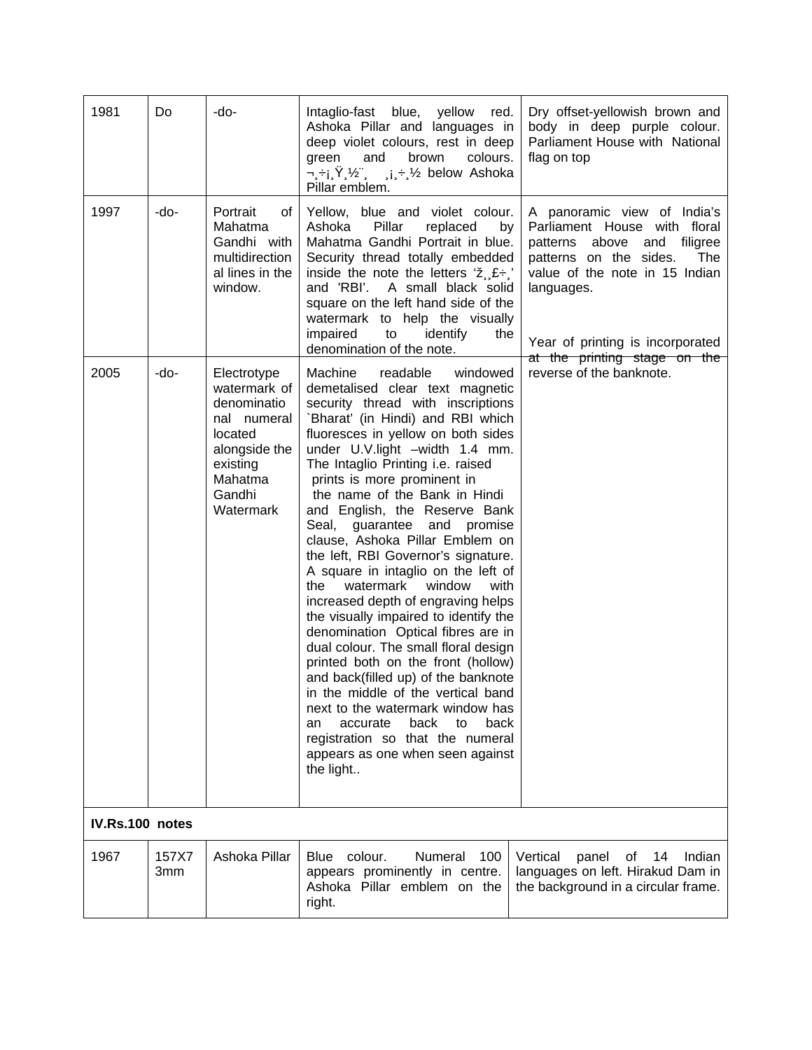| 1981            | Do           | -do-                                                                                                                                | Intaglio-fast blue, yellow<br>red.<br>Ashoka Pillar and languages in<br>deep violet colours, rest in deep<br>green<br>and<br>brown<br>colours.<br>¬,÷i,Ÿ,½¨, ,i,÷,½ below Ashoka<br>Pillar emblem.                                                                                                                                                                                                                                                                                                                                                                                                                                                                                                                                                                                                                                                                                                                                                                                                   | Dry offset-yellowish brown and<br>body in deep purple colour.<br>Parliament House with National<br>flag on top                                                                                                     |
|-----------------|--------------|-------------------------------------------------------------------------------------------------------------------------------------|------------------------------------------------------------------------------------------------------------------------------------------------------------------------------------------------------------------------------------------------------------------------------------------------------------------------------------------------------------------------------------------------------------------------------------------------------------------------------------------------------------------------------------------------------------------------------------------------------------------------------------------------------------------------------------------------------------------------------------------------------------------------------------------------------------------------------------------------------------------------------------------------------------------------------------------------------------------------------------------------------|--------------------------------------------------------------------------------------------------------------------------------------------------------------------------------------------------------------------|
| 1997            | -do-         | Portrait<br>οf<br>Mahatma<br>Gandhi with<br>multidirection<br>al lines in the<br>window.                                            | Yellow, blue and violet colour.<br>Pillar<br>Ashoka<br>replaced<br>by<br>Mahatma Gandhi Portrait in blue.<br>Security thread totally embedded<br>inside the note the letters $\tilde{z}$ , $\tilde{z}$ , $\tilde{z}$ , $\tilde{z}$<br>and 'RBI'. A small black solid<br>square on the left hand side of the<br>watermark to help the visually<br>impaired<br>identify<br>the<br>to<br>denomination of the note.                                                                                                                                                                                                                                                                                                                                                                                                                                                                                                                                                                                      | A panoramic view of India's<br>Parliament House with floral<br>above and filigree<br>patterns<br>patterns on the sides.<br>The<br>value of the note in 15 Indian<br>languages.<br>Year of printing is incorporated |
| 2005            | -do-         | Electrotype<br>watermark of<br>denominatio<br>nal numeral<br>located<br>alongside the<br>existing<br>Mahatma<br>Gandhi<br>Watermark | Machine<br>readable<br>windowed<br>demetalised clear text magnetic<br>security thread with inscriptions<br>`Bharat' (in Hindi) and RBI which<br>fluoresces in yellow on both sides<br>under U.V.light -width 1.4 mm.<br>The Intaglio Printing i.e. raised<br>prints is more prominent in<br>the name of the Bank in Hindi<br>and English, the Reserve Bank<br>guarantee and promise<br>Seal,<br>clause, Ashoka Pillar Emblem on<br>the left, RBI Governor's signature.<br>A square in intaglio on the left of<br>watermark<br>window<br>with<br>the<br>increased depth of engraving helps<br>the visually impaired to identify the<br>denomination Optical fibres are in<br>dual colour. The small floral design<br>printed both on the front (hollow)<br>and back(filled up) of the banknote<br>in the middle of the vertical band<br>next to the watermark window has<br>accurate<br>back<br>back<br>to<br>an<br>registration so that the numeral<br>appears as one when seen against<br>the light | at the printing stage on the<br>reverse of the banknote.                                                                                                                                                           |
| IV.Rs.100 notes |              |                                                                                                                                     |                                                                                                                                                                                                                                                                                                                                                                                                                                                                                                                                                                                                                                                                                                                                                                                                                                                                                                                                                                                                      |                                                                                                                                                                                                                    |
| 1967            | 157X7<br>3mm | Ashoka Pillar                                                                                                                       | Blue colour.<br>Numeral<br>100<br>appears prominently in centre.<br>Ashoka Pillar emblem on the<br>right.                                                                                                                                                                                                                                                                                                                                                                                                                                                                                                                                                                                                                                                                                                                                                                                                                                                                                            | Vertical<br>of $14$<br>Indian<br>panel<br>languages on left. Hirakud Dam in<br>the background in a circular frame.                                                                                                 |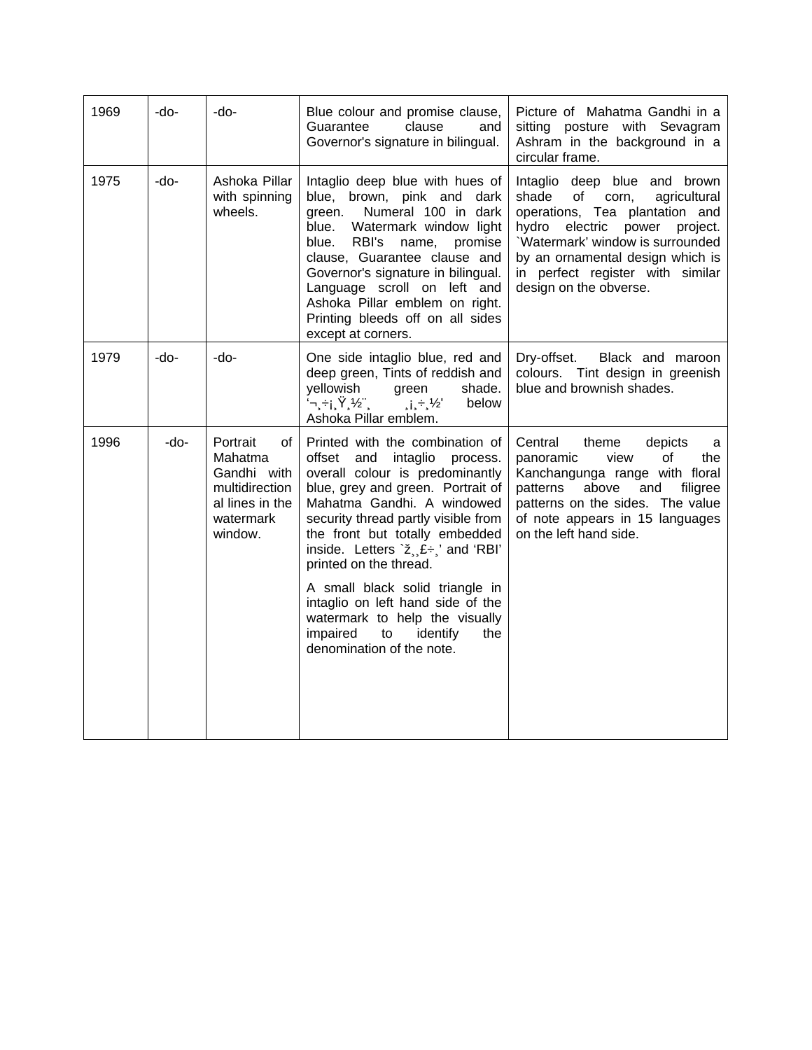| 1969 | -do-   | -do-                                                                                                  | Blue colour and promise clause,<br>Guarantee<br>clause<br>and<br>Governor's signature in bilingual.                                                                                                                                                                                                                                                                                                                                                                                                                                  | Picture of Mahatma Gandhi in a<br>sitting posture with Sevagram<br>Ashram in the background in a<br>circular frame.                                                                                                                                                              |
|------|--------|-------------------------------------------------------------------------------------------------------|--------------------------------------------------------------------------------------------------------------------------------------------------------------------------------------------------------------------------------------------------------------------------------------------------------------------------------------------------------------------------------------------------------------------------------------------------------------------------------------------------------------------------------------|----------------------------------------------------------------------------------------------------------------------------------------------------------------------------------------------------------------------------------------------------------------------------------|
| 1975 | $-do-$ | Ashoka Pillar<br>with spinning<br>wheels.                                                             | Intaglio deep blue with hues of<br>blue, brown, pink and dark<br>Numeral 100 in dark<br>green.<br>blue.<br>Watermark window light<br>blue.<br>RBI's<br>name,<br>promise<br>clause, Guarantee clause and<br>Governor's signature in bilingual.<br>Language scroll on left and<br>Ashoka Pillar emblem on right.<br>Printing bleeds off on all sides<br>except at corners.                                                                                                                                                             | Intaglio deep blue and brown<br>of corn,<br>shade<br>agricultural<br>operations, Tea plantation and<br>electric power<br>hydro<br>project.<br>'Watermark' window is surrounded<br>by an ornamental design which is<br>in perfect register with similar<br>design on the obverse. |
| 1979 | -do-   | -do-                                                                                                  | One side intaglio blue, red and<br>deep green, Tints of reddish and<br>yellowish<br>green<br>shade.<br>` <i>π</i> ,÷¡,Ϋ́,½<br>below<br>'½,÷.i,<br>Ashoka Pillar emblem.                                                                                                                                                                                                                                                                                                                                                              | Dry-offset.<br>Black and maroon<br>Tint design in greenish<br>colours.<br>blue and brownish shades.                                                                                                                                                                              |
| 1996 | -do-   | Portrait<br>of<br>Mahatma<br>Gandhi with<br>multidirection<br>al lines in the<br>watermark<br>window. | Printed with the combination of<br>offset<br>intaglio<br>and<br>process.<br>overall colour is predominantly<br>blue, grey and green. Portrait of<br>Mahatma Gandhi. A windowed<br>security thread partly visible from<br>the front but totally embedded<br>inside. Letters $\Sigma_{\alpha} \mathbf{E} + \mathbf{E}$ and 'RBI'<br>printed on the thread.<br>A small black solid triangle in<br>intaglio on left hand side of the<br>watermark to help the visually<br>identify<br>impaired<br>to<br>the<br>denomination of the note. | Central<br>theme<br>depicts<br>a<br>panoramic<br>view<br>οf<br>the<br>Kanchangunga range with floral<br>patterns<br>above<br>and<br>filigree<br>patterns on the sides. The value<br>of note appears in 15 languages<br>on the left hand side.                                    |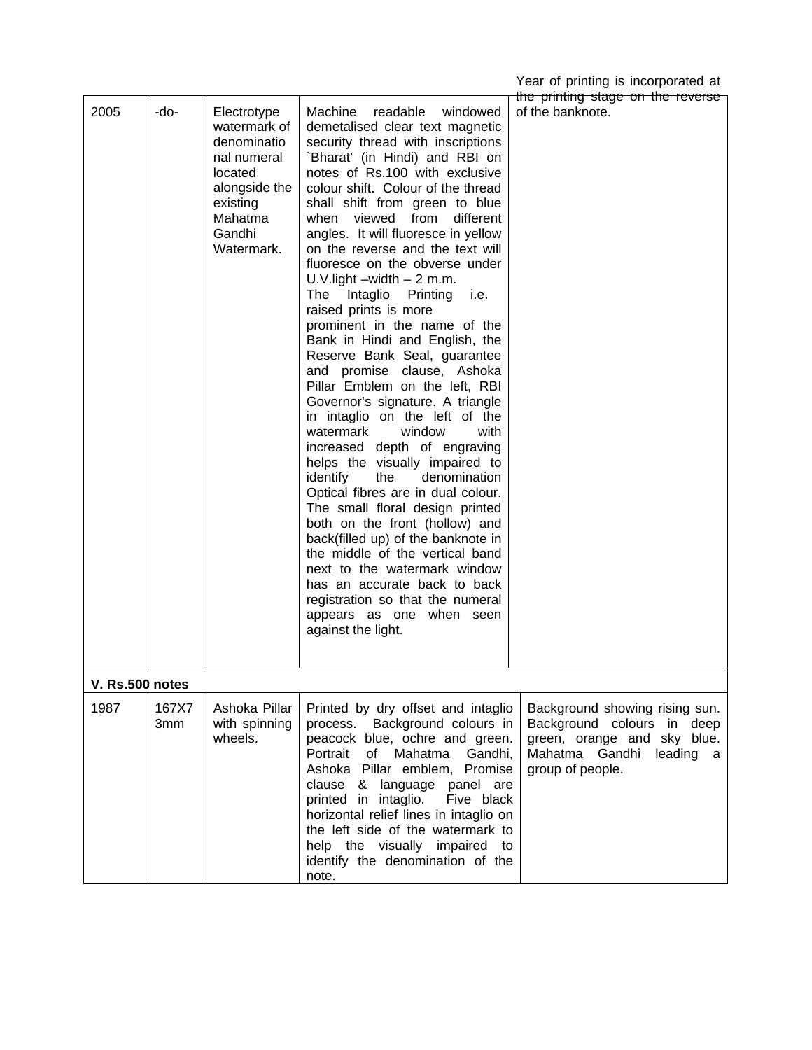|  |  |  |  | Year of printing is incorporated at |  |
|--|--|--|--|-------------------------------------|--|
|--|--|--|--|-------------------------------------|--|

|                 |              |                                                                                                                                      |                                                                                                                                                                                                                                                                                                                                                                                                                                                                                                                                                                                                                                                                                                                                                                                                                                                                                                                                                                                                                                                                                                                                                                                                                     | rear or priming to moorporated at<br>the printing stage on the reverse                                                                            |
|-----------------|--------------|--------------------------------------------------------------------------------------------------------------------------------------|---------------------------------------------------------------------------------------------------------------------------------------------------------------------------------------------------------------------------------------------------------------------------------------------------------------------------------------------------------------------------------------------------------------------------------------------------------------------------------------------------------------------------------------------------------------------------------------------------------------------------------------------------------------------------------------------------------------------------------------------------------------------------------------------------------------------------------------------------------------------------------------------------------------------------------------------------------------------------------------------------------------------------------------------------------------------------------------------------------------------------------------------------------------------------------------------------------------------|---------------------------------------------------------------------------------------------------------------------------------------------------|
| 2005            | -do-         | Electrotype<br>watermark of<br>denominatio<br>nal numeral<br>located<br>alongside the<br>existing<br>Mahatma<br>Gandhi<br>Watermark. | Machine<br>readable<br>windowed<br>demetalised clear text magnetic<br>security thread with inscriptions<br>`Bharat' (in Hindi) and RBI on<br>notes of Rs.100 with exclusive<br>colour shift. Colour of the thread<br>shall shift from green to blue<br>when viewed from different<br>angles. It will fluoresce in yellow<br>on the reverse and the text will<br>fluoresce on the obverse under<br>U.V.light $-width - 2$ m.m.<br>i.e.<br>Intaglio<br>Printing<br>The<br>raised prints is more<br>prominent in the name of the<br>Bank in Hindi and English, the<br>Reserve Bank Seal, guarantee<br>and promise clause, Ashoka<br>Pillar Emblem on the left, RBI<br>Governor's signature. A triangle<br>in intaglio on the left of the<br>watermark<br>window<br>with<br>increased depth of engraving<br>helps the visually impaired to<br>identify<br>the<br>denomination<br>Optical fibres are in dual colour.<br>The small floral design printed<br>both on the front (hollow) and<br>back(filled up) of the banknote in<br>the middle of the vertical band<br>next to the watermark window<br>has an accurate back to back<br>registration so that the numeral<br>appears as one when seen<br>against the light. | of the banknote.                                                                                                                                  |
| V. Rs.500 notes |              |                                                                                                                                      |                                                                                                                                                                                                                                                                                                                                                                                                                                                                                                                                                                                                                                                                                                                                                                                                                                                                                                                                                                                                                                                                                                                                                                                                                     |                                                                                                                                                   |
| 1987            | 167X7<br>3mm | Ashoka Pillar<br>with spinning<br>wheels.                                                                                            | Printed by dry offset and intaglio<br>process. Background colours in<br>peacock blue, ochre and green.<br>of Mahatma Gandhi,<br>Portrait<br>Ashoka Pillar emblem, Promise<br>clause & language panel are<br>printed in intaglio.<br>Five black<br>horizontal relief lines in intaglio on<br>the left side of the watermark to<br>help the visually impaired to<br>identify the denomination of the<br>note.                                                                                                                                                                                                                                                                                                                                                                                                                                                                                                                                                                                                                                                                                                                                                                                                         | Background showing rising sun.<br>Background colours in deep<br>green, orange and sky blue.<br>Mahatma Gandhi<br>leading<br>a<br>group of people. |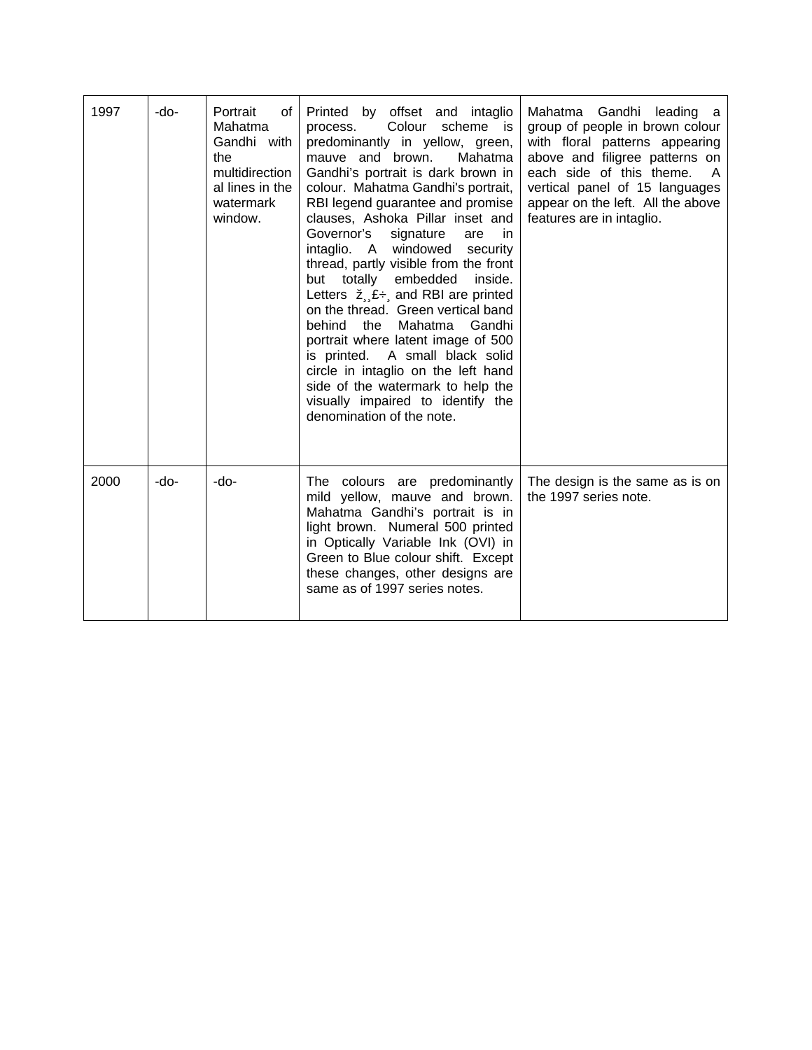| 1997 | -do- | Portrait<br>of l<br>Mahatma<br>Gandhi with<br>the<br>multidirection<br>al lines in the<br>watermark<br>window. | Printed by offset and intaglio<br>Colour scheme is<br>process.<br>predominantly in yellow, green,<br>Mahatma<br>mauve and brown.<br>Gandhi's portrait is dark brown in<br>colour. Mahatma Gandhi's portrait,<br>RBI legend guarantee and promise<br>clauses, Ashoka Pillar inset and<br>Governor's<br>signature<br>in.<br>are<br>intaglio. A windowed security<br>thread, partly visible from the front<br>totally<br>embedded<br>inside.<br>but<br>Letters $\check{z}, \hat{z}$ ; and RBI are printed<br>on the thread. Green vertical band<br>Mahatma<br>behind<br>the<br>Gandhi<br>portrait where latent image of 500<br>is printed. A small black solid<br>circle in intaglio on the left hand<br>side of the watermark to help the<br>visually impaired to identify the<br>denomination of the note. | Mahatma Gandhi leading a<br>group of people in brown colour<br>with floral patterns appearing<br>above and filigree patterns on<br>each side of this theme.<br>A<br>vertical panel of 15 languages<br>appear on the left. All the above<br>features are in intaglio. |
|------|------|----------------------------------------------------------------------------------------------------------------|-----------------------------------------------------------------------------------------------------------------------------------------------------------------------------------------------------------------------------------------------------------------------------------------------------------------------------------------------------------------------------------------------------------------------------------------------------------------------------------------------------------------------------------------------------------------------------------------------------------------------------------------------------------------------------------------------------------------------------------------------------------------------------------------------------------|----------------------------------------------------------------------------------------------------------------------------------------------------------------------------------------------------------------------------------------------------------------------|
| 2000 | -do- | -do-                                                                                                           | The colours are predominantly<br>mild yellow, mauve and brown.<br>Mahatma Gandhi's portrait is in<br>light brown. Numeral 500 printed<br>in Optically Variable Ink (OVI) in<br>Green to Blue colour shift. Except<br>these changes, other designs are<br>same as of 1997 series notes.                                                                                                                                                                                                                                                                                                                                                                                                                                                                                                                    | The design is the same as is on<br>the 1997 series note.                                                                                                                                                                                                             |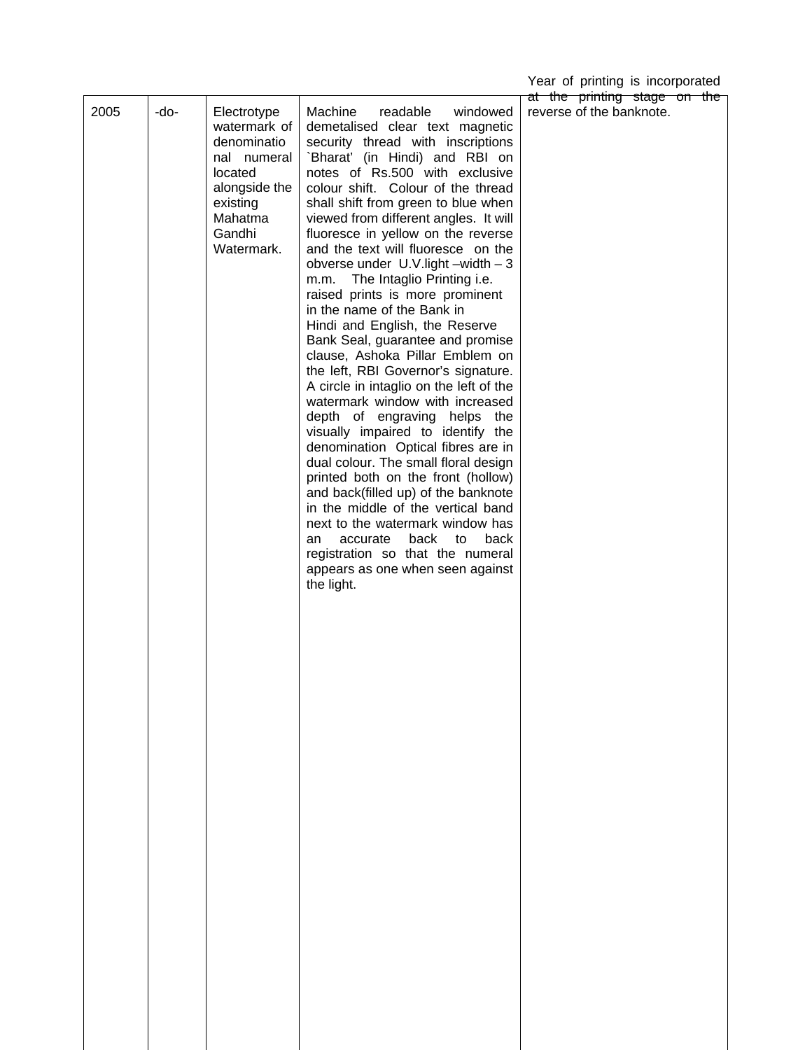Year of printing is incorporated

|  |                                                                                                                       |                                                                                                                                                                                                                                                                                                                                                                                                                                                                                                                                                                                                                                                                                                                                                                                                                                                                                                                                                                                                                                                                                                                                                                  | at the printing stage on the |  |
|--|-----------------------------------------------------------------------------------------------------------------------|------------------------------------------------------------------------------------------------------------------------------------------------------------------------------------------------------------------------------------------------------------------------------------------------------------------------------------------------------------------------------------------------------------------------------------------------------------------------------------------------------------------------------------------------------------------------------------------------------------------------------------------------------------------------------------------------------------------------------------------------------------------------------------------------------------------------------------------------------------------------------------------------------------------------------------------------------------------------------------------------------------------------------------------------------------------------------------------------------------------------------------------------------------------|------------------------------|--|
|  | watermark of<br>denominatio<br>nal numeral<br>located<br>alongside the<br>existing<br>Mahatma<br>Gandhi<br>Watermark. | demetalised clear text magnetic<br>security thread with inscriptions<br>`Bharat' (in Hindi) and RBI on<br>notes of Rs.500 with exclusive<br>colour shift. Colour of the thread<br>shall shift from green to blue when<br>viewed from different angles. It will<br>fluoresce in yellow on the reverse<br>and the text will fluoresce on the<br>obverse under $U.V.light - width - 3$<br>The Intaglio Printing i.e.<br>m.m.<br>raised prints is more prominent<br>in the name of the Bank in<br>Hindi and English, the Reserve<br>Bank Seal, guarantee and promise<br>clause, Ashoka Pillar Emblem on<br>the left, RBI Governor's signature.<br>A circle in intaglio on the left of the<br>watermark window with increased<br>depth of engraving helps the<br>visually impaired to identify the<br>denomination Optical fibres are in<br>dual colour. The small floral design<br>printed both on the front (hollow)<br>and back(filled up) of the banknote<br>in the middle of the vertical band<br>next to the watermark window has<br>accurate<br>back<br>back<br>an<br>to<br>registration so that the numeral<br>appears as one when seen against<br>the light. |                              |  |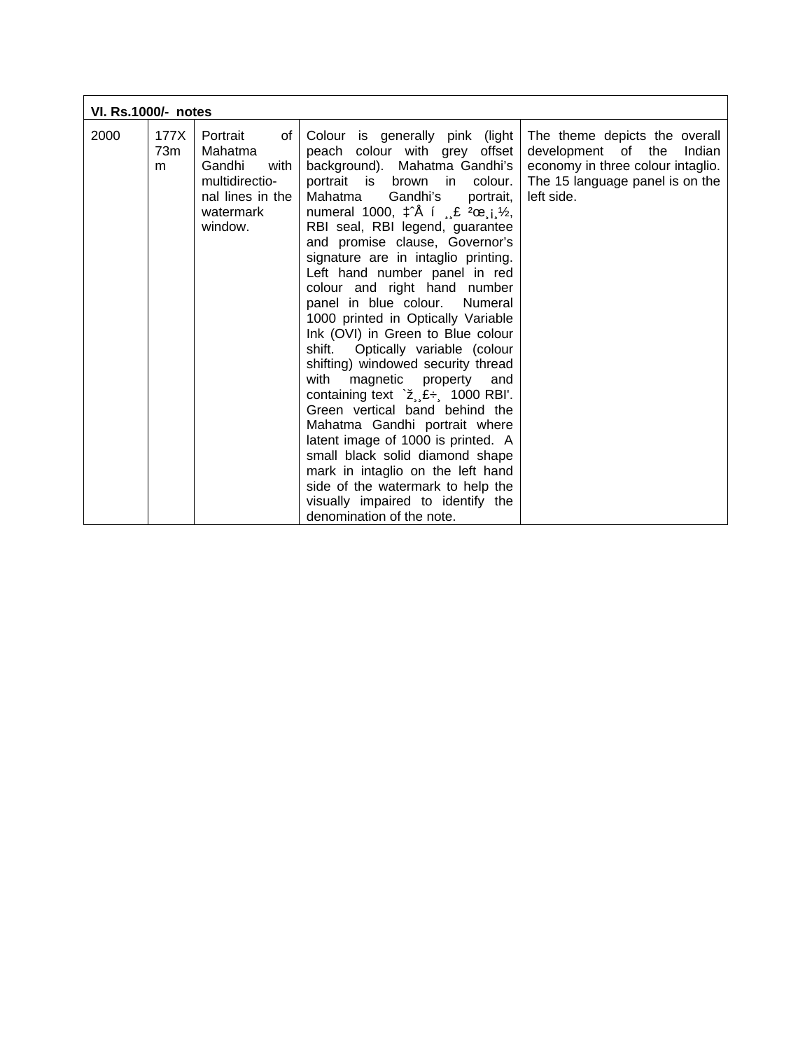|      | VI. Rs.1000/- notes |                                                                                                          |                                                                                                                                                                                                                                                                                                                                                                                                                                                                                                                                                                                                                                                                                                                                                                                                                                                                                                                                                                                                                                             |                                                                                                                    |  |  |  |  |
|------|---------------------|----------------------------------------------------------------------------------------------------------|---------------------------------------------------------------------------------------------------------------------------------------------------------------------------------------------------------------------------------------------------------------------------------------------------------------------------------------------------------------------------------------------------------------------------------------------------------------------------------------------------------------------------------------------------------------------------------------------------------------------------------------------------------------------------------------------------------------------------------------------------------------------------------------------------------------------------------------------------------------------------------------------------------------------------------------------------------------------------------------------------------------------------------------------|--------------------------------------------------------------------------------------------------------------------|--|--|--|--|
| 2000 | 177X<br>73m<br>m    | Portrait<br>of I<br>Mahatma<br>Gandhi with<br>multidirectio-<br>nal lines in the<br>watermark<br>window. | Colour is generally pink (light   The theme depicts the overall<br>peach colour with grey offset<br>background). Mahatma Gandhi's  <br>portrait is brown in colour.<br>Mahatma<br>Gandhi's portrait,<br>numeral 1000, $\ddagger \text{A}$ í $\text{B}$ $2\alpha_{1}$ , $\frac{1}{2}$ ,<br>RBI seal, RBI legend, guarantee<br>and promise clause, Governor's<br>signature are in intaglio printing.<br>Left hand number panel in red<br>colour and right hand number<br>panel in blue colour. Numeral<br>1000 printed in Optically Variable<br>Ink (OVI) in Green to Blue colour<br>shift. Optically variable (colour<br>shifting) windowed security thread<br>with<br>magnetic property and<br>containing text $\Sigma_{1}$ , £ $\div$ , 1000 RBI'.<br>Green vertical band behind the<br>Mahatma Gandhi portrait where<br>latent image of 1000 is printed. A<br>small black solid diamond shape<br>mark in intaglio on the left hand<br>side of the watermark to help the<br>visually impaired to identify the<br>denomination of the note. | development of the<br>Indian<br>economy in three colour intaglio.<br>The 15 language panel is on the<br>left side. |  |  |  |  |